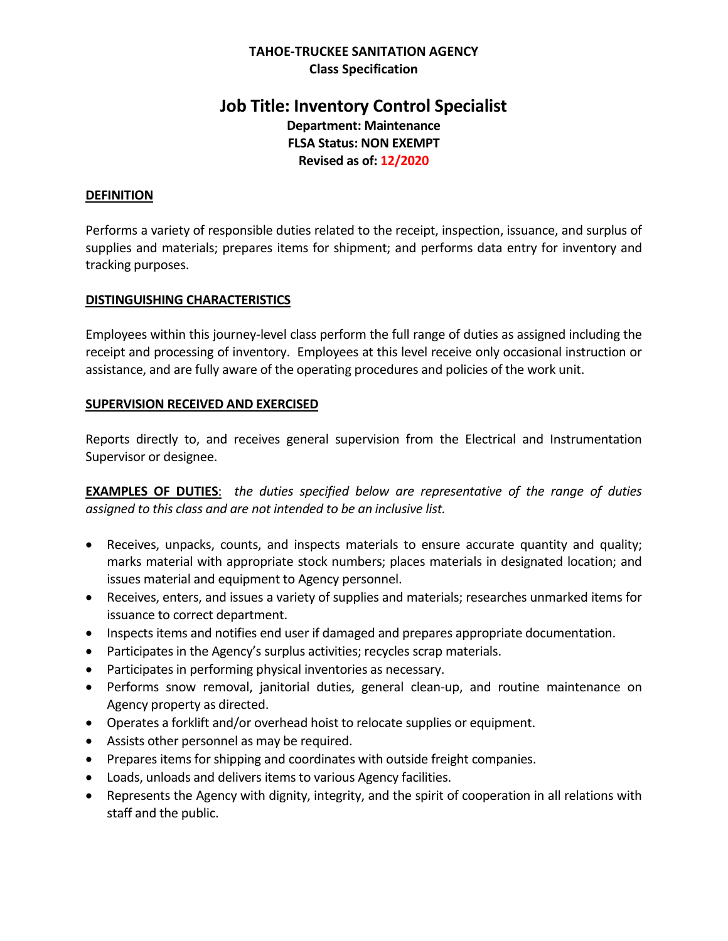## **TAHOE-TRUCKEE SANITATION AGENCY Class Specification**

# **Job Title: Inventory Control Specialist Department: Maintenance FLSA Status: NON EXEMPT Revised as of: 12/2020**

## **DEFINITION**

Performs a variety of responsible duties related to the receipt, inspection, issuance, and surplus of supplies and materials; prepares items for shipment; and performs data entry for inventory and tracking purposes.

### **DISTINGUISHING CHARACTERISTICS**

Employees within this journey-level class perform the full range of duties as assigned including the receipt and processing of inventory. Employees at this level receive only occasional instruction or assistance, and are fully aware of the operating procedures and policies of the work unit.

### **SUPERVISION RECEIVED AND EXERCISED**

Reports directly to, and receives general supervision from the Electrical and Instrumentation Supervisor or designee.

**EXAMPLES OF DUTIES**: *the duties specified below are representative of the range of duties assigned to this class and are not intended to be an inclusive list.* 

- Receives, unpacks, counts, and inspects materials to ensure accurate quantity and quality; marks material with appropriate stock numbers; places materials in designated location; and issues material and equipment to Agency personnel.
- Receives, enters, and issues a variety of supplies and materials; researches unmarked items for issuance to correct department.
- Inspects items and notifies end user if damaged and prepares appropriate documentation.
- Participates in the Agency's surplus activities; recycles scrap materials.
- Participates in performing physical inventories as necessary.
- Performs snow removal, janitorial duties, general clean-up, and routine maintenance on Agency property as directed.
- Operates a forklift and/or overhead hoist to relocate supplies or equipment.
- Assists other personnel as may be required.
- Prepares items for shipping and coordinates with outside freight companies.
- Loads, unloads and delivers items to various Agency facilities.
- Represents the Agency with dignity, integrity, and the spirit of cooperation in all relations with staff and the public.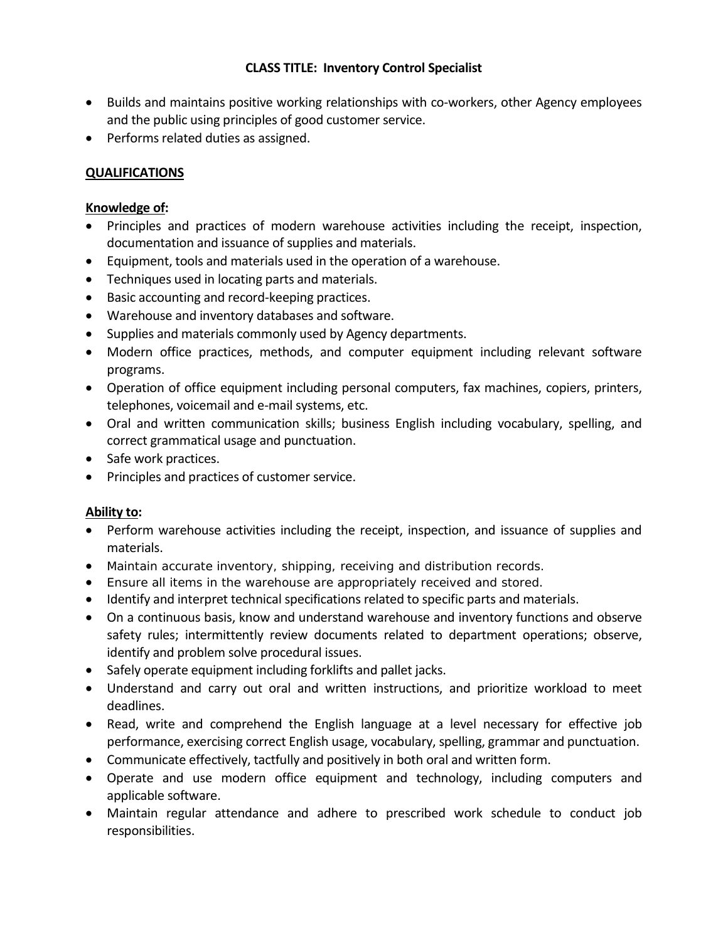## **CLASS TITLE: Inventory Control Specialist**

- Builds and maintains positive working relationships with co-workers, other Agency employees and the public using principles of good customer service.
- Performs related duties as assigned.

# **QUALIFICATIONS**

## **Knowledge of:**

- Principles and practices of modern warehouse activities including the receipt, inspection, documentation and issuance of supplies and materials.
- Equipment, tools and materials used in the operation of a warehouse.
- Techniques used in locating parts and materials.
- Basic accounting and record-keeping practices.
- Warehouse and inventory databases and software.
- Supplies and materials commonly used by Agency departments.
- Modern office practices, methods, and computer equipment including relevant software programs.
- Operation of office equipment including personal computers, fax machines, copiers, printers, telephones, voicemail and e-mail systems, etc.
- Oral and written communication skills; business English including vocabulary, spelling, and correct grammatical usage and punctuation.
- Safe work practices.
- Principles and practices of customer service.

## **Ability to:**

- Perform warehouse activities including the receipt, inspection, and issuance of supplies and materials.
- Maintain accurate inventory, shipping, receiving and distribution records.
- Ensure all items in the warehouse are appropriately received and stored.
- Identify and interpret technical specifications related to specific parts and materials.
- On a continuous basis, know and understand warehouse and inventory functions and observe safety rules; intermittently review documents related to department operations; observe, identify and problem solve procedural issues.
- Safely operate equipment including forklifts and pallet jacks.
- Understand and carry out oral and written instructions, and prioritize workload to meet deadlines.
- Read, write and comprehend the English language at a level necessary for effective job performance, exercising correct English usage, vocabulary, spelling, grammar and punctuation.
- Communicate effectively, tactfully and positively in both oral and written form.
- Operate and use modern office equipment and technology, including computers and applicable software.
- Maintain regular attendance and adhere to prescribed work schedule to conduct job responsibilities.